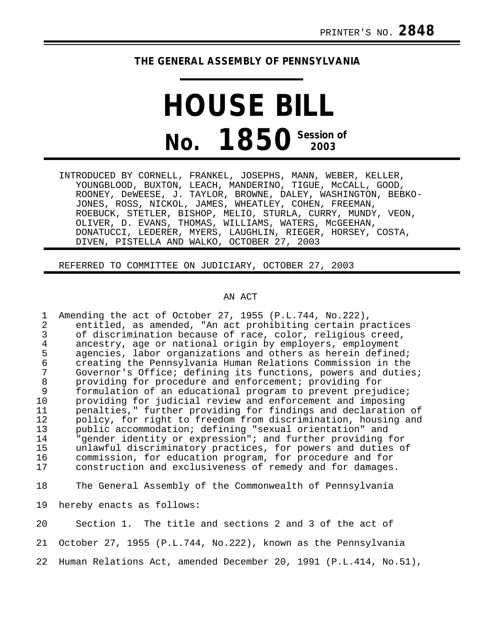## **THE GENERAL ASSEMBLY OF PENNSYLVANIA**

## **HOUSE BILL No. 1850 Session of 2003**

INTRODUCED BY CORNELL, FRANKEL, JOSEPHS, MANN, WEBER, KELLER, YOUNGBLOOD, BUXTON, LEACH, MANDERINO, TIGUE, McCALL, GOOD, ROONEY, DeWEESE, J. TAYLOR, BROWNE, DALEY, WASHINGTON, BEBKO-JONES, ROSS, NICKOL, JAMES, WHEATLEY, COHEN, FREEMAN, ROEBUCK, STETLER, BISHOP, MELIO, STURLA, CURRY, MUNDY, VEON, OLIVER, D. EVANS, THOMAS, WILLIAMS, WATERS, McGEEHAN, DONATUCCI, LEDERER, MYERS, LAUGHLIN, RIEGER, HORSEY, COSTA, DIVEN, PISTELLA AND WALKO, OCTOBER 27, 2003

REFERRED TO COMMITTEE ON JUDICIARY, OCTOBER 27, 2003

## AN ACT

1 Amending the act of October 27, 1955 (P.L.744, No.222), 2 entitled, as amended, "An act prohibiting certain practices 3 of discrimination because of race, color, religious creed, 4 ancestry, age or national origin by employers, employment 5 agencies, labor organizations and others as herein defined; 6 creating the Pennsylvania Human Relations Commission in the 7 Governor's Office; defining its functions, powers and duties;<br>8 or providing for procedure and enforcement; providing for 8 providing for procedure and enforcement; providing for<br>9 formulation of an educational program to prevent prejue 9 formulation of an educational program to prevent prejudice;<br>10 providing for judicial review and enforcement and imposing providing for judicial review and enforcement and imposing 11 penalties," further providing for findings and declaration of 12 policy, for right to freedom from discrimination, housing and<br>13 public accommodation; defining "sexual orientation" and 13 public accommodation; defining "sexual orientation" and<br>14 Teender identity or expression"; and further providing 14 The "gender identity or expression"; and further providing for<br>15 The unlawful discriminatory practices, for powers and duties of 15 unlawful discriminatory practices, for powers and duties of<br>16 commission, for education program, for procedure and for 16 commission, for education program, for procedure and for construction and exclusiveness of remedy and for damages. 18 The General Assembly of the Commonwealth of Pennsylvania

19 hereby enacts as follows:

20 Section 1. The title and sections 2 and 3 of the act of 21 October 27, 1955 (P.L.744, No.222), known as the Pennsylvania 22 Human Relations Act, amended December 20, 1991 (P.L.414, No.51),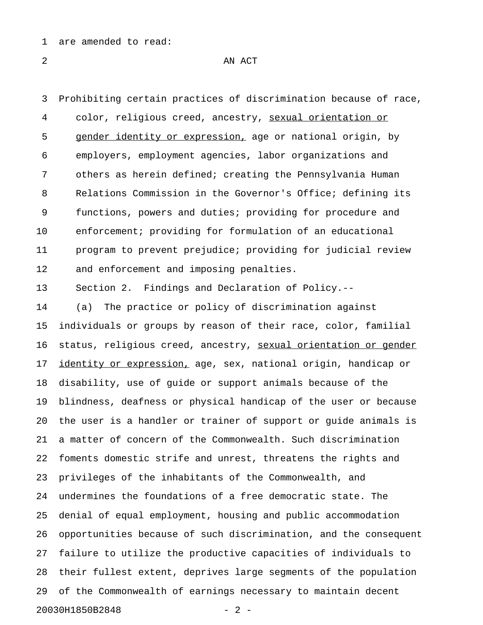1 are amended to read:

2 AN ACT

3 Prohibiting certain practices of discrimination because of race, 4 color, religious creed, ancestry, sexual orientation or \_\_\_\_\_\_\_\_\_\_\_\_\_\_\_\_\_\_\_\_\_ 5 gender identity or expression, age or national origin, by 6 employers, employment agencies, labor organizations and 7 others as herein defined; creating the Pennsylvania Human 8 Relations Commission in the Governor's Office; defining its 9 functions, powers and duties; providing for procedure and 10 enforcement; providing for formulation of an educational 11 program to prevent prejudice; providing for judicial review 12 and enforcement and imposing penalties.

13 Section 2. Findings and Declaration of Policy.--

14 (a) The practice or policy of discrimination against 15 individuals or groups by reason of their race, color, familial 16 status, religious creed, ancestry, sexual orientation or gender 17 identity or expression, age, sex, national origin, handicap or 18 disability, use of guide or support animals because of the 19 blindness, deafness or physical handicap of the user or because 20 the user is a handler or trainer of support or guide animals is 21 a matter of concern of the Commonwealth. Such discrimination 22 foments domestic strife and unrest, threatens the rights and 23 privileges of the inhabitants of the Commonwealth, and 24 undermines the foundations of a free democratic state. The 25 denial of equal employment, housing and public accommodation 26 opportunities because of such discrimination, and the consequent 27 failure to utilize the productive capacities of individuals to 28 their fullest extent, deprives large segments of the population 29 of the Commonwealth of earnings necessary to maintain decent 20030H1850B2848 - 2 -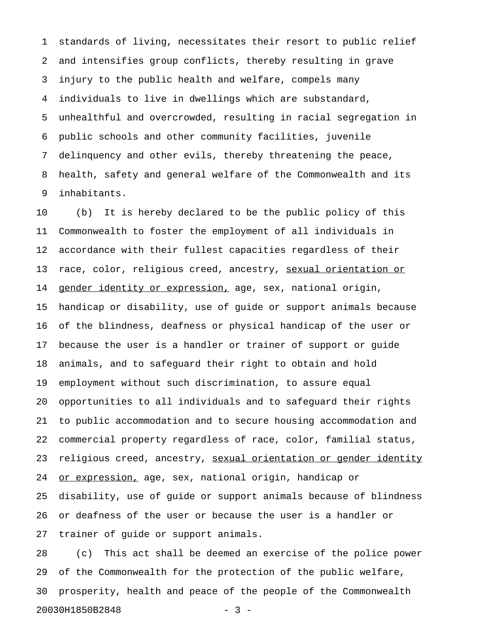1 standards of living, necessitates their resort to public relief 2 and intensifies group conflicts, thereby resulting in grave 3 injury to the public health and welfare, compels many 4 individuals to live in dwellings which are substandard, 5 unhealthful and overcrowded, resulting in racial segregation in 6 public schools and other community facilities, juvenile 7 delinquency and other evils, thereby threatening the peace, 8 health, safety and general welfare of the Commonwealth and its 9 inhabitants.

10 (b) It is hereby declared to be the public policy of this 11 Commonwealth to foster the employment of all individuals in 12 accordance with their fullest capacities regardless of their 13 race, color, religious creed, ancestry, sexual orientation or 14 gender identity or expression, age, sex, national origin, 15 handicap or disability, use of guide or support animals because 16 of the blindness, deafness or physical handicap of the user or 17 because the user is a handler or trainer of support or guide 18 animals, and to safeguard their right to obtain and hold 19 employment without such discrimination, to assure equal 20 opportunities to all individuals and to safeguard their rights 21 to public accommodation and to secure housing accommodation and 22 commercial property regardless of race, color, familial status, 23 religious creed, ancestry, sexual orientation or gender identity 24 or expression, age, sex, national origin, handicap or 25 disability, use of guide or support animals because of blindness 26 or deafness of the user or because the user is a handler or 27 trainer of guide or support animals.

28 (c) This act shall be deemed an exercise of the police power 29 of the Commonwealth for the protection of the public welfare, 30 prosperity, health and peace of the people of the Commonwealth 20030H1850B2848 - 3 -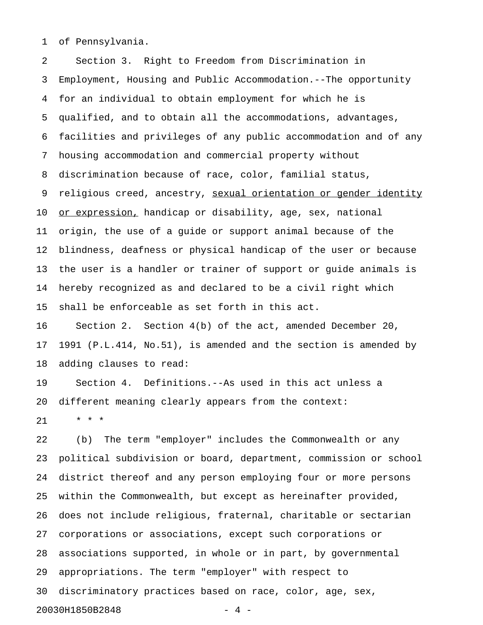1 of Pennsylvania.

2 Section 3. Right to Freedom from Discrimination in 3 Employment, Housing and Public Accommodation.--The opportunity 4 for an individual to obtain employment for which he is 5 qualified, and to obtain all the accommodations, advantages, 6 facilities and privileges of any public accommodation and of any 7 housing accommodation and commercial property without 8 discrimination because of race, color, familial status, 9 religious creed, ancestry, <u>sexual orientation or gender identity</u> 10 <u>or expression,</u> handicap or disability, age, sex, national 11 origin, the use of a guide or support animal because of the 12 blindness, deafness or physical handicap of the user or because 13 the user is a handler or trainer of support or guide animals is 14 hereby recognized as and declared to be a civil right which 15 shall be enforceable as set forth in this act. 16 Section 2. Section 4(b) of the act, amended December 20, 17 1991 (P.L.414, No.51), is amended and the section is amended by

18 adding clauses to read:

19 Section 4. Definitions.--As used in this act unless a 20 different meaning clearly appears from the context:

21 \* \* \*

22 (b) The term "employer" includes the Commonwealth or any 23 political subdivision or board, department, commission or school 24 district thereof and any person employing four or more persons 25 within the Commonwealth, but except as hereinafter provided, 26 does not include religious, fraternal, charitable or sectarian 27 corporations or associations, except such corporations or 28 associations supported, in whole or in part, by governmental 29 appropriations. The term "employer" with respect to 30 discriminatory practices based on race, color, age, sex, 20030H1850B2848 - 4 -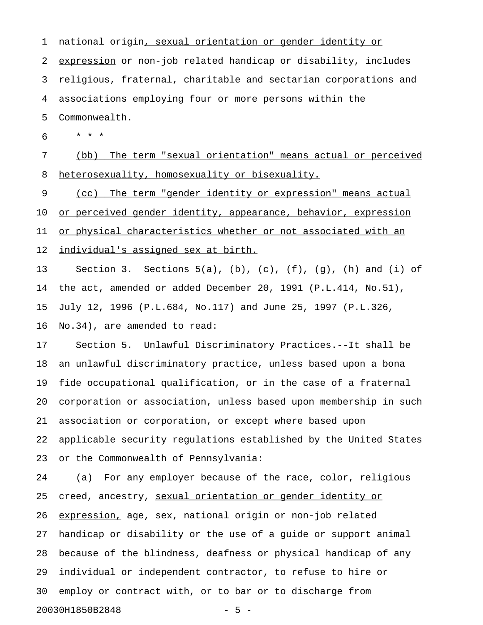1 national origin, sexual orientation or gender identity or 2 expression or non-job related handicap or disability, includes 3 religious, fraternal, charitable and sectarian corporations and 4 associations employing four or more persons within the 5 Commonwealth. 6 \* \* \* 7 (bb) The term "sexual orientation" means actual or perceived 8 heterosexuality, homosexuality or bisexuality. 9 (cc) The term "gender identity or expression" means actual

10 or perceived gender identity, appearance, behavior, expression 11 or physical characteristics whether or not associated with an 12 individual's assigned sex at birth.

13 Section 3. Sections 5(a), (b), (c), (f), (g), (h) and (i) of 14 the act, amended or added December 20, 1991 (P.L.414, No.51), 15 July 12, 1996 (P.L.684, No.117) and June 25, 1997 (P.L.326, 16 No.34), are amended to read:

17 Section 5. Unlawful Discriminatory Practices.--It shall be 18 an unlawful discriminatory practice, unless based upon a bona 19 fide occupational qualification, or in the case of a fraternal 20 corporation or association, unless based upon membership in such 21 association or corporation, or except where based upon 22 applicable security regulations established by the United States 23 or the Commonwealth of Pennsylvania:

24 (a) For any employer because of the race, color, religious 25 creed, ancestry, sexual orientation or gender identity or 26 expression, age, sex, national origin or non-job related 27 handicap or disability or the use of a guide or support animal 28 because of the blindness, deafness or physical handicap of any 29 individual or independent contractor, to refuse to hire or 30 employ or contract with, or to bar or to discharge from 20030H1850B2848 - 5 -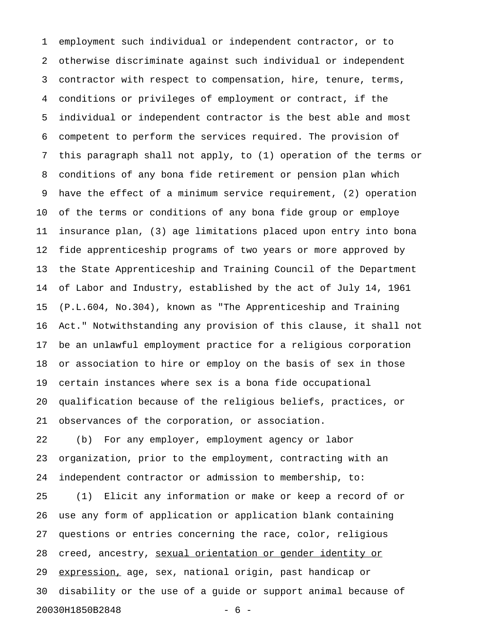1 employment such individual or independent contractor, or to 2 otherwise discriminate against such individual or independent 3 contractor with respect to compensation, hire, tenure, terms, 4 conditions or privileges of employment or contract, if the 5 individual or independent contractor is the best able and most 6 competent to perform the services required. The provision of 7 this paragraph shall not apply, to (1) operation of the terms or 8 conditions of any bona fide retirement or pension plan which 9 have the effect of a minimum service requirement, (2) operation 10 of the terms or conditions of any bona fide group or employe 11 insurance plan, (3) age limitations placed upon entry into bona 12 fide apprenticeship programs of two years or more approved by 13 the State Apprenticeship and Training Council of the Department 14 of Labor and Industry, established by the act of July 14, 1961 15 (P.L.604, No.304), known as "The Apprenticeship and Training 16 Act." Notwithstanding any provision of this clause, it shall not 17 be an unlawful employment practice for a religious corporation 18 or association to hire or employ on the basis of sex in those 19 certain instances where sex is a bona fide occupational 20 qualification because of the religious beliefs, practices, or 21 observances of the corporation, or association. 22 (b) For any employer, employment agency or labor 23 organization, prior to the employment, contracting with an 24 independent contractor or admission to membership, to: 25 (1) Elicit any information or make or keep a record of or

26 use any form of application or application blank containing 27 questions or entries concerning the race, color, religious 28 creed, ancestry, sexual orientation or gender identity or 29 expression, age, sex, national origin, past handicap or 30 disability or the use of a guide or support animal because of 20030H1850B2848 - 6 -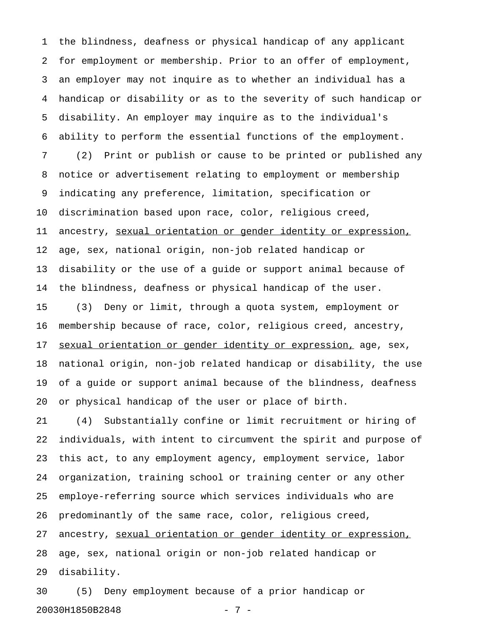1 the blindness, deafness or physical handicap of any applicant 2 for employment or membership. Prior to an offer of employment, 3 an employer may not inquire as to whether an individual has a 4 handicap or disability or as to the severity of such handicap or 5 disability. An employer may inquire as to the individual's 6 ability to perform the essential functions of the employment. 7 (2) Print or publish or cause to be printed or published any 8 notice or advertisement relating to employment or membership 9 indicating any preference, limitation, specification or 10 discrimination based upon race, color, religious creed, 11 ancestry, sexual orientation or gender identity or expression, 12 age, sex, national origin, non-job related handicap or 13 disability or the use of a guide or support animal because of 14 the blindness, deafness or physical handicap of the user. 15 (3) Deny or limit, through a quota system, employment or 16 membership because of race, color, religious creed, ancestry, 17 sexual orientation or gender identity or expression, age, sex, 18 national origin, non-job related handicap or disability, the use 19 of a guide or support animal because of the blindness, deafness 20 or physical handicap of the user or place of birth.

21 (4) Substantially confine or limit recruitment or hiring of 22 individuals, with intent to circumvent the spirit and purpose of 23 this act, to any employment agency, employment service, labor 24 organization, training school or training center or any other 25 employe-referring source which services individuals who are 26 predominantly of the same race, color, religious creed, 27 ancestry, sexual orientation or gender identity or expression, 28 age, sex, national origin or non-job related handicap or 29 disability.

30 (5) Deny employment because of a prior handicap or 20030H1850B2848 - 7 -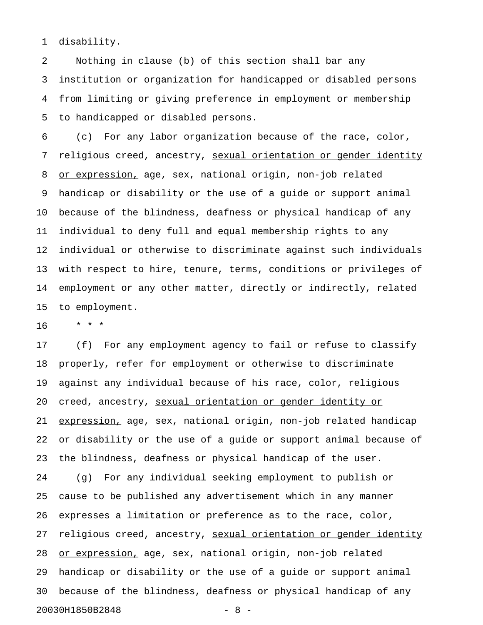1 disability.

2 Nothing in clause (b) of this section shall bar any 3 institution or organization for handicapped or disabled persons 4 from limiting or giving preference in employment or membership 5 to handicapped or disabled persons.

6 (c) For any labor organization because of the race, color, 7 religious creed, ancestry, sexual orientation or gender identity 8 or expression, age, sex, national origin, non-job related 9 handicap or disability or the use of a guide or support animal 10 because of the blindness, deafness or physical handicap of any 11 individual to deny full and equal membership rights to any 12 individual or otherwise to discriminate against such individuals 13 with respect to hire, tenure, terms, conditions or privileges of 14 employment or any other matter, directly or indirectly, related 15 to employment.

16 \* \* \*

17 (f) For any employment agency to fail or refuse to classify 18 properly, refer for employment or otherwise to discriminate 19 against any individual because of his race, color, religious 20 creed, ancestry, sexual orientation or gender identity or 21 expression, age, sex, national origin, non-job related handicap 22 or disability or the use of a guide or support animal because of 23 the blindness, deafness or physical handicap of the user. 24 (g) For any individual seeking employment to publish or 25 cause to be published any advertisement which in any manner 26 expresses a limitation or preference as to the race, color, 27 religious creed, ancestry, sexual orientation or gender identity 28 or expression, age, sex, national origin, non-job related 29 handicap or disability or the use of a guide or support animal 30 because of the blindness, deafness or physical handicap of any 20030H1850B2848 - 8 -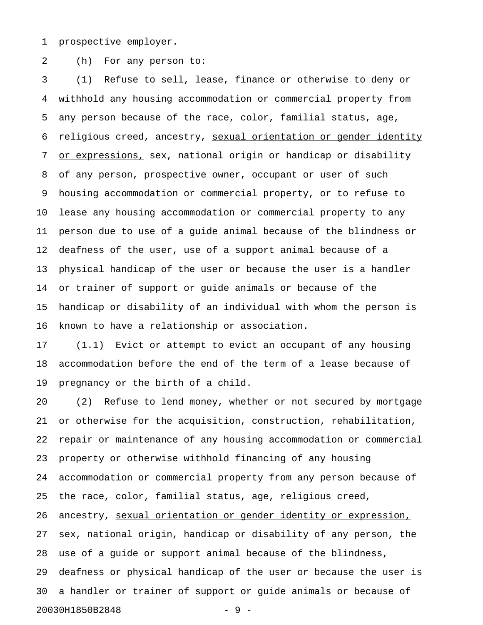1 prospective employer.

2 (h) For any person to:

3 (1) Refuse to sell, lease, finance or otherwise to deny or 4 withhold any housing accommodation or commercial property from 5 any person because of the race, color, familial status, age, 6 religious creed, ancestry, sexual orientation or gender identity 7 or expressions, sex, national origin or handicap or disability 8 of any person, prospective owner, occupant or user of such 9 housing accommodation or commercial property, or to refuse to 10 lease any housing accommodation or commercial property to any 11 person due to use of a guide animal because of the blindness or 12 deafness of the user, use of a support animal because of a 13 physical handicap of the user or because the user is a handler 14 or trainer of support or guide animals or because of the 15 handicap or disability of an individual with whom the person is 16 known to have a relationship or association.

17 (1.1) Evict or attempt to evict an occupant of any housing 18 accommodation before the end of the term of a lease because of 19 pregnancy or the birth of a child.

20 (2) Refuse to lend money, whether or not secured by mortgage 21 or otherwise for the acquisition, construction, rehabilitation, 22 repair or maintenance of any housing accommodation or commercial 23 property or otherwise withhold financing of any housing 24 accommodation or commercial property from any person because of 25 the race, color, familial status, age, religious creed, 26 ancestry, sexual orientation or gender identity or expression, 27 sex, national origin, handicap or disability of any person, the 28 use of a guide or support animal because of the blindness, 29 deafness or physical handicap of the user or because the user is 30 a handler or trainer of support or guide animals or because of 20030H1850B2848 - 9 -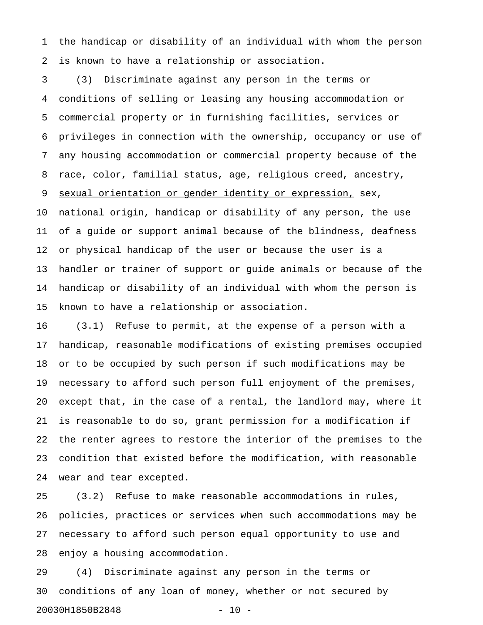1 the handicap or disability of an individual with whom the person 2 is known to have a relationship or association.

3 (3) Discriminate against any person in the terms or 4 conditions of selling or leasing any housing accommodation or 5 commercial property or in furnishing facilities, services or 6 privileges in connection with the ownership, occupancy or use of 7 any housing accommodation or commercial property because of the 8 race, color, familial status, age, religious creed, ancestry, 9 sexual orientation or gender identity or expression, sex, 10 national origin, handicap or disability of any person, the use 11 of a guide or support animal because of the blindness, deafness 12 or physical handicap of the user or because the user is a 13 handler or trainer of support or guide animals or because of the 14 handicap or disability of an individual with whom the person is 15 known to have a relationship or association.

16 (3.1) Refuse to permit, at the expense of a person with a 17 handicap, reasonable modifications of existing premises occupied 18 or to be occupied by such person if such modifications may be 19 necessary to afford such person full enjoyment of the premises, 20 except that, in the case of a rental, the landlord may, where it 21 is reasonable to do so, grant permission for a modification if 22 the renter agrees to restore the interior of the premises to the 23 condition that existed before the modification, with reasonable 24 wear and tear excepted.

25 (3.2) Refuse to make reasonable accommodations in rules, 26 policies, practices or services when such accommodations may be 27 necessary to afford such person equal opportunity to use and 28 enjoy a housing accommodation.

29 (4) Discriminate against any person in the terms or 30 conditions of any loan of money, whether or not secured by 20030H1850B2848 - 10 -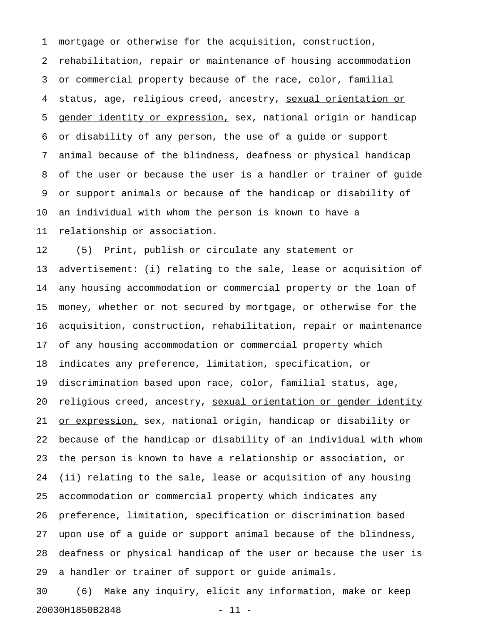1 mortgage or otherwise for the acquisition, construction, 2 rehabilitation, repair or maintenance of housing accommodation 3 or commercial property because of the race, color, familial 4 status, age, religious creed, ancestry, sexual orientation or 5 gender identity or expression, sex, national origin or handicap 6 or disability of any person, the use of a guide or support 7 animal because of the blindness, deafness or physical handicap 8 of the user or because the user is a handler or trainer of guide 9 or support animals or because of the handicap or disability of 10 an individual with whom the person is known to have a 11 relationship or association.

12 (5) Print, publish or circulate any statement or 13 advertisement: (i) relating to the sale, lease or acquisition of 14 any housing accommodation or commercial property or the loan of 15 money, whether or not secured by mortgage, or otherwise for the 16 acquisition, construction, rehabilitation, repair or maintenance 17 of any housing accommodation or commercial property which 18 indicates any preference, limitation, specification, or 19 discrimination based upon race, color, familial status, age, 20 religious creed, ancestry, sexual orientation or gender identity 21 <u>or expression,</u> sex, national origin, handicap or disability or 22 because of the handicap or disability of an individual with whom 23 the person is known to have a relationship or association, or 24 (ii) relating to the sale, lease or acquisition of any housing 25 accommodation or commercial property which indicates any 26 preference, limitation, specification or discrimination based 27 upon use of a guide or support animal because of the blindness, 28 deafness or physical handicap of the user or because the user is 29 a handler or trainer of support or guide animals.

30 (6) Make any inquiry, elicit any information, make or keep 20030H1850B2848 - 11 -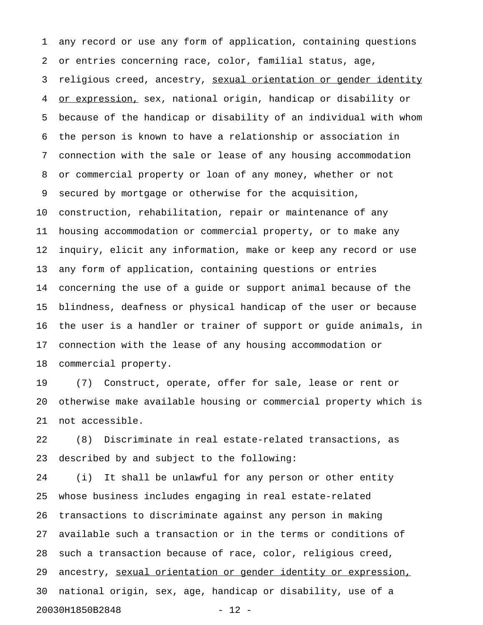1 any record or use any form of application, containing questions 2 or entries concerning race, color, familial status, age, 3 religious creed, ancestry, sexual orientation or gender identity 4 or expression, sex, national origin, handicap or disability or 5 because of the handicap or disability of an individual with whom 6 the person is known to have a relationship or association in 7 connection with the sale or lease of any housing accommodation 8 or commercial property or loan of any money, whether or not 9 secured by mortgage or otherwise for the acquisition, 10 construction, rehabilitation, repair or maintenance of any 11 housing accommodation or commercial property, or to make any 12 inquiry, elicit any information, make or keep any record or use 13 any form of application, containing questions or entries 14 concerning the use of a guide or support animal because of the 15 blindness, deafness or physical handicap of the user or because 16 the user is a handler or trainer of support or guide animals, in 17 connection with the lease of any housing accommodation or 18 commercial property.

19 (7) Construct, operate, offer for sale, lease or rent or 20 otherwise make available housing or commercial property which is 21 not accessible.

22 (8) Discriminate in real estate-related transactions, as 23 described by and subject to the following:

24 (i) It shall be unlawful for any person or other entity 25 whose business includes engaging in real estate-related 26 transactions to discriminate against any person in making 27 available such a transaction or in the terms or conditions of 28 such a transaction because of race, color, religious creed, 29 ancestry, sexual orientation or gender identity or expression, 30 national origin, sex, age, handicap or disability, use of a 20030H1850B2848 - 12 -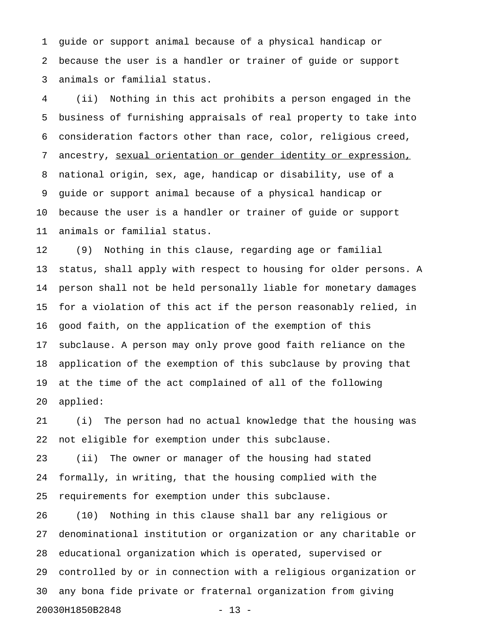1 guide or support animal because of a physical handicap or 2 because the user is a handler or trainer of guide or support 3 animals or familial status.

4 (ii) Nothing in this act prohibits a person engaged in the 5 business of furnishing appraisals of real property to take into 6 consideration factors other than race, color, religious creed, 7 ancestry, sexual orientation or gender identity or expression, 8 national origin, sex, age, handicap or disability, use of a 9 guide or support animal because of a physical handicap or 10 because the user is a handler or trainer of guide or support 11 animals or familial status.

12 (9) Nothing in this clause, regarding age or familial 13 status, shall apply with respect to housing for older persons. A 14 person shall not be held personally liable for monetary damages 15 for a violation of this act if the person reasonably relied, in 16 good faith, on the application of the exemption of this 17 subclause. A person may only prove good faith reliance on the 18 application of the exemption of this subclause by proving that 19 at the time of the act complained of all of the following 20 applied:

21 (i) The person had no actual knowledge that the housing was 22 not eligible for exemption under this subclause.

23 (ii) The owner or manager of the housing had stated 24 formally, in writing, that the housing complied with the 25 requirements for exemption under this subclause.

26 (10) Nothing in this clause shall bar any religious or 27 denominational institution or organization or any charitable or 28 educational organization which is operated, supervised or 29 controlled by or in connection with a religious organization or 30 any bona fide private or fraternal organization from giving 20030H1850B2848 - 13 -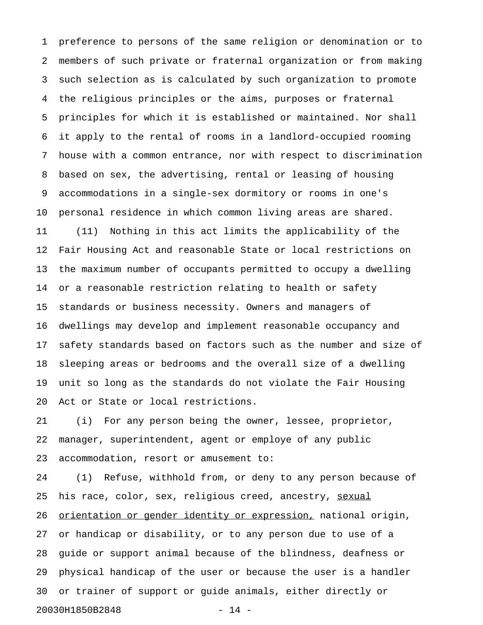1 preference to persons of the same religion or denomination or to 2 members of such private or fraternal organization or from making 3 such selection as is calculated by such organization to promote 4 the religious principles or the aims, purposes or fraternal 5 principles for which it is established or maintained. Nor shall 6 it apply to the rental of rooms in a landlord-occupied rooming 7 house with a common entrance, nor with respect to discrimination 8 based on sex, the advertising, rental or leasing of housing 9 accommodations in a single-sex dormitory or rooms in one's 10 personal residence in which common living areas are shared. 11 (11) Nothing in this act limits the applicability of the 12 Fair Housing Act and reasonable State or local restrictions on 13 the maximum number of occupants permitted to occupy a dwelling 14 or a reasonable restriction relating to health or safety 15 standards or business necessity. Owners and managers of 16 dwellings may develop and implement reasonable occupancy and 17 safety standards based on factors such as the number and size of 18 sleeping areas or bedrooms and the overall size of a dwelling 19 unit so long as the standards do not violate the Fair Housing 20 Act or State or local restrictions.

21 (i) For any person being the owner, lessee, proprietor, 22 manager, superintendent, agent or employe of any public 23 accommodation, resort or amusement to:

24 (1) Refuse, withhold from, or deny to any person because of 25 his race, color, sex, religious creed, ancestry, sexual 26 orientation or gender identity or expression, national origin, 27 or handicap or disability, or to any person due to use of a 28 guide or support animal because of the blindness, deafness or 29 physical handicap of the user or because the user is a handler 30 or trainer of support or guide animals, either directly or 20030H1850B2848 - 14 -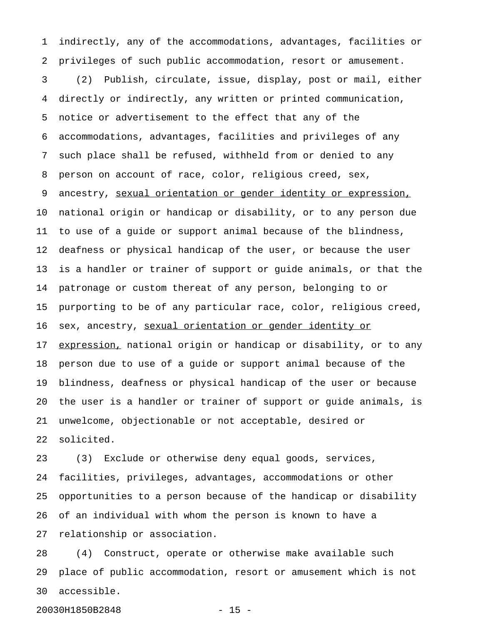1 indirectly, any of the accommodations, advantages, facilities or 2 privileges of such public accommodation, resort or amusement.

3 (2) Publish, circulate, issue, display, post or mail, either 4 directly or indirectly, any written or printed communication, 5 notice or advertisement to the effect that any of the 6 accommodations, advantages, facilities and privileges of any 7 such place shall be refused, withheld from or denied to any 8 person on account of race, color, religious creed, sex, 9 ancestry, sexual orientation or gender identity or expression, 10 national origin or handicap or disability, or to any person due 11 to use of a guide or support animal because of the blindness, 12 deafness or physical handicap of the user, or because the user 13 is a handler or trainer of support or guide animals, or that the 14 patronage or custom thereat of any person, belonging to or 15 purporting to be of any particular race, color, religious creed, 16 sex, ancestry, sexual orientation or gender identity or 17 expression, national origin or handicap or disability, or to any 18 person due to use of a guide or support animal because of the 19 blindness, deafness or physical handicap of the user or because 20 the user is a handler or trainer of support or guide animals, is 21 unwelcome, objectionable or not acceptable, desired or 22 solicited.

23 (3) Exclude or otherwise deny equal goods, services, 24 facilities, privileges, advantages, accommodations or other 25 opportunities to a person because of the handicap or disability 26 of an individual with whom the person is known to have a 27 relationship or association.

28 (4) Construct, operate or otherwise make available such 29 place of public accommodation, resort or amusement which is not 30 accessible.

20030H1850B2848 - 15 -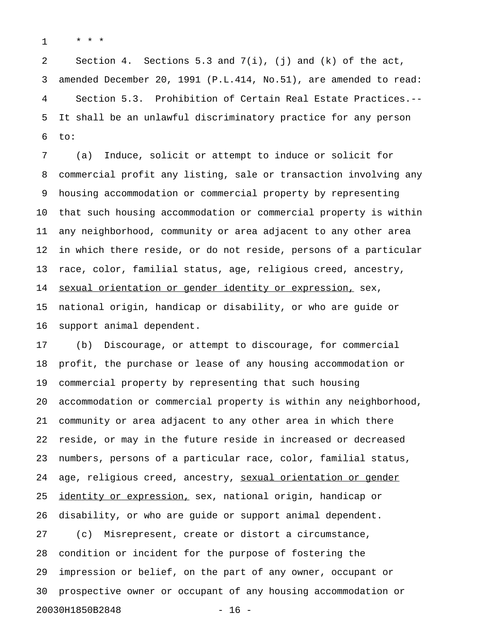1 \* \* \*

2 Section 4. Sections 5.3 and 7(i), (j) and (k) of the act, 3 amended December 20, 1991 (P.L.414, No.51), are amended to read: 4 Section 5.3. Prohibition of Certain Real Estate Practices.-- 5 It shall be an unlawful discriminatory practice for any person 6 to:

7 (a) Induce, solicit or attempt to induce or solicit for 8 commercial profit any listing, sale or transaction involving any 9 housing accommodation or commercial property by representing 10 that such housing accommodation or commercial property is within 11 any neighborhood, community or area adjacent to any other area 12 in which there reside, or do not reside, persons of a particular 13 race, color, familial status, age, religious creed, ancestry, 14 sexual orientation or gender identity or expression, sex, 15 national origin, handicap or disability, or who are guide or 16 support animal dependent.

17 (b) Discourage, or attempt to discourage, for commercial 18 profit, the purchase or lease of any housing accommodation or 19 commercial property by representing that such housing 20 accommodation or commercial property is within any neighborhood, 21 community or area adjacent to any other area in which there 22 reside, or may in the future reside in increased or decreased 23 numbers, persons of a particular race, color, familial status, 24 age, religious creed, ancestry, sexual orientation or gender 25 identity or expression, sex, national origin, handicap or 26 disability, or who are guide or support animal dependent. 27 (c) Misrepresent, create or distort a circumstance, 28 condition or incident for the purpose of fostering the 29 impression or belief, on the part of any owner, occupant or 30 prospective owner or occupant of any housing accommodation or 20030H1850B2848 - 16 -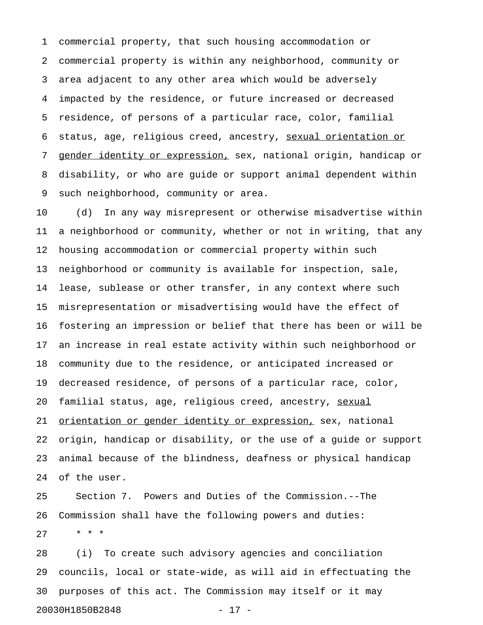1 commercial property, that such housing accommodation or 2 commercial property is within any neighborhood, community or 3 area adjacent to any other area which would be adversely 4 impacted by the residence, or future increased or decreased 5 residence, of persons of a particular race, color, familial 6 status, age, religious creed, ancestry, sexual orientation or 7 gender identity or expression, sex, national origin, handicap or 8 disability, or who are guide or support animal dependent within 9 such neighborhood, community or area.

10 (d) In any way misrepresent or otherwise misadvertise within 11 a neighborhood or community, whether or not in writing, that any 12 housing accommodation or commercial property within such 13 neighborhood or community is available for inspection, sale, 14 lease, sublease or other transfer, in any context where such 15 misrepresentation or misadvertising would have the effect of 16 fostering an impression or belief that there has been or will be 17 an increase in real estate activity within such neighborhood or 18 community due to the residence, or anticipated increased or 19 decreased residence, of persons of a particular race, color, 20 familial status, age, religious creed, ancestry, sexual 21 orientation or gender identity or expression, sex, national 22 origin, handicap or disability, or the use of a guide or support 23 animal because of the blindness, deafness or physical handicap 24 of the user.

25 Section 7. Powers and Duties of the Commission.--The 26 Commission shall have the following powers and duties: 27 \* \* \*

28 (i) To create such advisory agencies and conciliation 29 councils, local or state-wide, as will aid in effectuating the 30 purposes of this act. The Commission may itself or it may 20030H1850B2848 - 17 -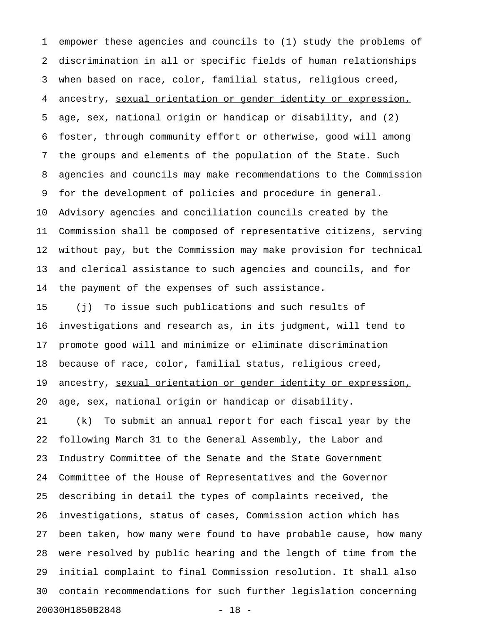1 empower these agencies and councils to (1) study the problems of 2 discrimination in all or specific fields of human relationships 3 when based on race, color, familial status, religious creed, 4 ancestry, sexual orientation or gender identity or expression, 5 age, sex, national origin or handicap or disability, and (2) 6 foster, through community effort or otherwise, good will among 7 the groups and elements of the population of the State. Such 8 agencies and councils may make recommendations to the Commission 9 for the development of policies and procedure in general. 10 Advisory agencies and conciliation councils created by the 11 Commission shall be composed of representative citizens, serving 12 without pay, but the Commission may make provision for technical 13 and clerical assistance to such agencies and councils, and for 14 the payment of the expenses of such assistance.

15 (j) To issue such publications and such results of 16 investigations and research as, in its judgment, will tend to 17 promote good will and minimize or eliminate discrimination 18 because of race, color, familial status, religious creed, 19 ancestry, sexual orientation or gender identity or expression, 20 age, sex, national origin or handicap or disability. 21 (k) To submit an annual report for each fiscal year by the 22 following March 31 to the General Assembly, the Labor and 23 Industry Committee of the Senate and the State Government 24 Committee of the House of Representatives and the Governor 25 describing in detail the types of complaints received, the 26 investigations, status of cases, Commission action which has 27 been taken, how many were found to have probable cause, how many 28 were resolved by public hearing and the length of time from the 29 initial complaint to final Commission resolution. It shall also 30 contain recommendations for such further legislation concerning 20030H1850B2848 - 18 -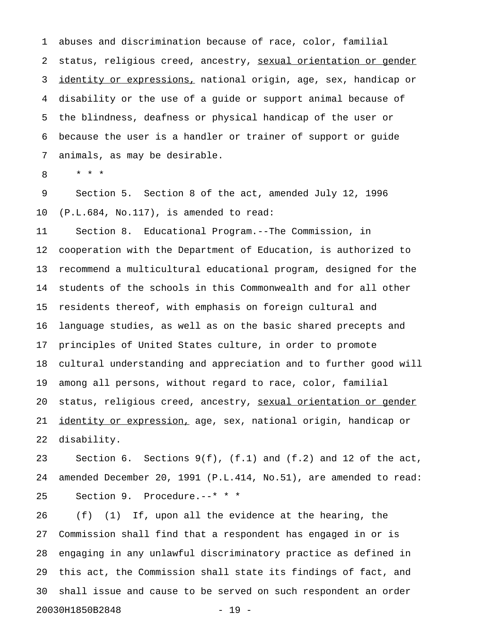1 abuses and discrimination because of race, color, familial 2 status, religious creed, ancestry, sexual orientation or gender 3 identity or expressions, national origin, age, sex, handicap or 4 disability or the use of a guide or support animal because of 5 the blindness, deafness or physical handicap of the user or 6 because the user is a handler or trainer of support or guide 7 animals, as may be desirable.

8 \* \* \*

9 Section 5. Section 8 of the act, amended July 12, 1996 10 (P.L.684, No.117), is amended to read:

11 Section 8. Educational Program.--The Commission, in 12 cooperation with the Department of Education, is authorized to 13 recommend a multicultural educational program, designed for the 14 students of the schools in this Commonwealth and for all other 15 residents thereof, with emphasis on foreign cultural and 16 language studies, as well as on the basic shared precepts and 17 principles of United States culture, in order to promote 18 cultural understanding and appreciation and to further good will 19 among all persons, without regard to race, color, familial 20 status, religious creed, ancestry, sexual orientation or gender 21 identity or expression, age, sex, national origin, handicap or 22 disability.

23 Section 6. Sections 9(f), (f.1) and (f.2) and 12 of the act, 24 amended December 20, 1991 (P.L.414, No.51), are amended to read: 25 Section 9. Procedure.--\* \* \*

26 (f) (1) If, upon all the evidence at the hearing, the 27 Commission shall find that a respondent has engaged in or is 28 engaging in any unlawful discriminatory practice as defined in 29 this act, the Commission shall state its findings of fact, and 30 shall issue and cause to be served on such respondent an order 20030H1850B2848 - 19 -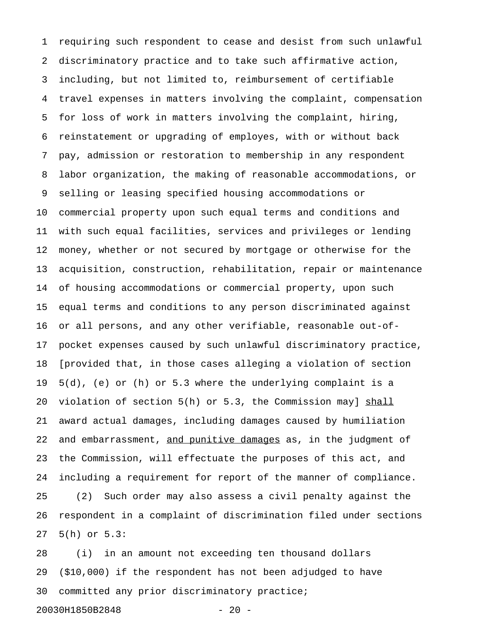1 requiring such respondent to cease and desist from such unlawful 2 discriminatory practice and to take such affirmative action, 3 including, but not limited to, reimbursement of certifiable 4 travel expenses in matters involving the complaint, compensation 5 for loss of work in matters involving the complaint, hiring, 6 reinstatement or upgrading of employes, with or without back 7 pay, admission or restoration to membership in any respondent 8 labor organization, the making of reasonable accommodations, or 9 selling or leasing specified housing accommodations or 10 commercial property upon such equal terms and conditions and 11 with such equal facilities, services and privileges or lending 12 money, whether or not secured by mortgage or otherwise for the 13 acquisition, construction, rehabilitation, repair or maintenance 14 of housing accommodations or commercial property, upon such 15 equal terms and conditions to any person discriminated against 16 or all persons, and any other verifiable, reasonable out-of-17 pocket expenses caused by such unlawful discriminatory practice, 18 [provided that, in those cases alleging a violation of section 19 5(d), (e) or (h) or 5.3 where the underlying complaint is a 20 violation of section  $5(h)$  or 5.3, the Commission may]  $shall$ 21 award actual damages, including damages caused by humiliation 22 and embarrassment, and punitive damages as, in the judgment of 23 the Commission, will effectuate the purposes of this act, and 24 including a requirement for report of the manner of compliance. 25 (2) Such order may also assess a civil penalty against the 26 respondent in a complaint of discrimination filed under sections 27 5(h) or 5.3:

28 (i) in an amount not exceeding ten thousand dollars 29 (\$10,000) if the respondent has not been adjudged to have 30 committed any prior discriminatory practice;

```
20030H1850B2848 - 20 -
```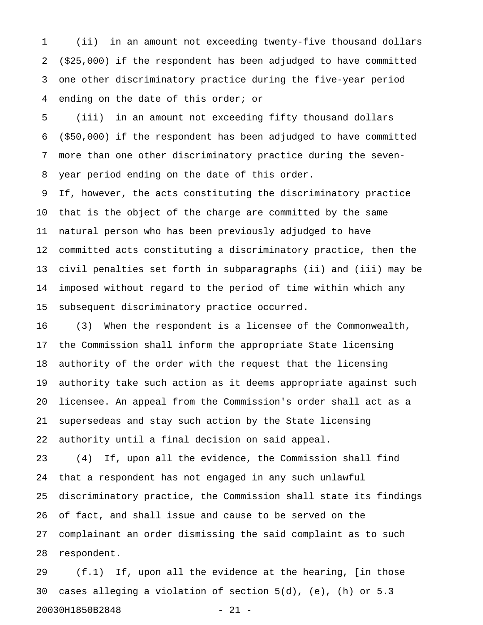1 (ii) in an amount not exceeding twenty-five thousand dollars 2 (\$25,000) if the respondent has been adjudged to have committed 3 one other discriminatory practice during the five-year period 4 ending on the date of this order; or

5 (iii) in an amount not exceeding fifty thousand dollars 6 (\$50,000) if the respondent has been adjudged to have committed 7 more than one other discriminatory practice during the seven-8 year period ending on the date of this order.

9 If, however, the acts constituting the discriminatory practice 10 that is the object of the charge are committed by the same 11 natural person who has been previously adjudged to have 12 committed acts constituting a discriminatory practice, then the 13 civil penalties set forth in subparagraphs (ii) and (iii) may be 14 imposed without regard to the period of time within which any 15 subsequent discriminatory practice occurred.

16 (3) When the respondent is a licensee of the Commonwealth, 17 the Commission shall inform the appropriate State licensing 18 authority of the order with the request that the licensing 19 authority take such action as it deems appropriate against such 20 licensee. An appeal from the Commission's order shall act as a 21 supersedeas and stay such action by the State licensing 22 authority until a final decision on said appeal.

23 (4) If, upon all the evidence, the Commission shall find 24 that a respondent has not engaged in any such unlawful 25 discriminatory practice, the Commission shall state its findings 26 of fact, and shall issue and cause to be served on the 27 complainant an order dismissing the said complaint as to such 28 respondent.

29 (f.1) If, upon all the evidence at the hearing, [in those 30 cases alleging a violation of section 5(d), (e), (h) or 5.3 20030H1850B2848 - 21 -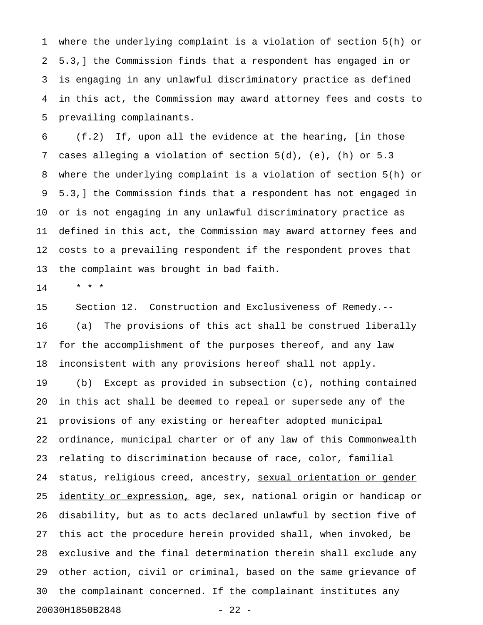1 where the underlying complaint is a violation of section 5(h) or 2 5.3,] the Commission finds that a respondent has engaged in or 3 is engaging in any unlawful discriminatory practice as defined 4 in this act, the Commission may award attorney fees and costs to 5 prevailing complainants.

6 (f.2) If, upon all the evidence at the hearing, [in those 7 cases alleging a violation of section 5(d), (e), (h) or 5.3 8 where the underlying complaint is a violation of section 5(h) or 9 5.3,] the Commission finds that a respondent has not engaged in 10 or is not engaging in any unlawful discriminatory practice as 11 defined in this act, the Commission may award attorney fees and 12 costs to a prevailing respondent if the respondent proves that 13 the complaint was brought in bad faith.

14 \* \* \*

15 Section 12. Construction and Exclusiveness of Remedy.-- 16 (a) The provisions of this act shall be construed liberally 17 for the accomplishment of the purposes thereof, and any law 18 inconsistent with any provisions hereof shall not apply.

19 (b) Except as provided in subsection (c), nothing contained 20 in this act shall be deemed to repeal or supersede any of the 21 provisions of any existing or hereafter adopted municipal 22 ordinance, municipal charter or of any law of this Commonwealth 23 relating to discrimination because of race, color, familial 24 status, religious creed, ancestry, sexual orientation or gender 25 identity or expression, age, sex, national origin or handicap or 26 disability, but as to acts declared unlawful by section five of 27 this act the procedure herein provided shall, when invoked, be 28 exclusive and the final determination therein shall exclude any 29 other action, civil or criminal, based on the same grievance of 30 the complainant concerned. If the complainant institutes any 20030H1850B2848 - 22 -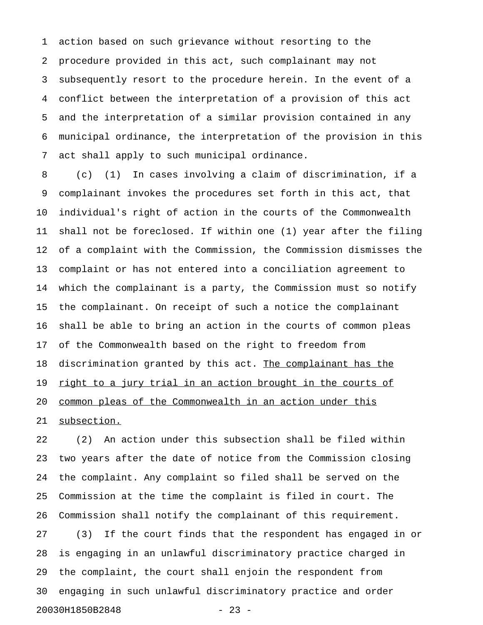1 action based on such grievance without resorting to the 2 procedure provided in this act, such complainant may not 3 subsequently resort to the procedure herein. In the event of a 4 conflict between the interpretation of a provision of this act 5 and the interpretation of a similar provision contained in any 6 municipal ordinance, the interpretation of the provision in this 7 act shall apply to such municipal ordinance.

8 (c) (1) In cases involving a claim of discrimination, if a 9 complainant invokes the procedures set forth in this act, that 10 individual's right of action in the courts of the Commonwealth 11 shall not be foreclosed. If within one (1) year after the filing 12 of a complaint with the Commission, the Commission dismisses the 13 complaint or has not entered into a conciliation agreement to 14 which the complainant is a party, the Commission must so notify 15 the complainant. On receipt of such a notice the complainant 16 shall be able to bring an action in the courts of common pleas 17 of the Commonwealth based on the right to freedom from 18 discrimination granted by this act. The complainant has the 19 <u>right to a jury trial in an action brought in the courts of</u> 20 common pleas of the Commonwealth in an action under this

21 subsection.

22 (2) An action under this subsection shall be filed within 23 two years after the date of notice from the Commission closing 24 the complaint. Any complaint so filed shall be served on the 25 Commission at the time the complaint is filed in court. The 26 Commission shall notify the complainant of this requirement. 27 (3) If the court finds that the respondent has engaged in or 28 is engaging in an unlawful discriminatory practice charged in 29 the complaint, the court shall enjoin the respondent from 30 engaging in such unlawful discriminatory practice and order 20030H1850B2848 - 23 -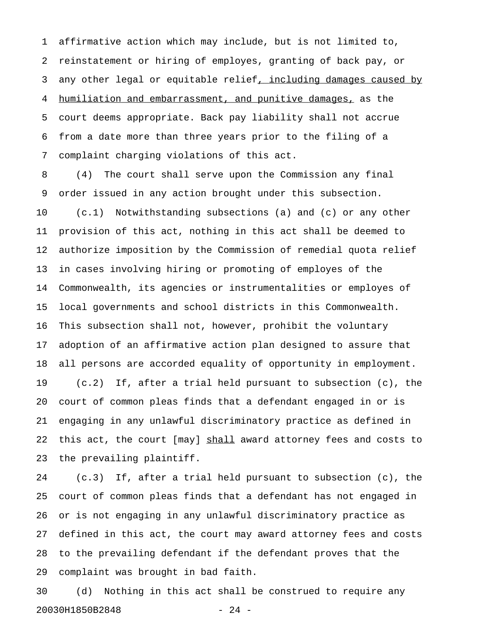1 affirmative action which may include, but is not limited to, 2 reinstatement or hiring of employes, granting of back pay, or 3 any other legal or equitable relief, including damages caused by 4 humiliation and embarrassment, and punitive damages, as the 5 court deems appropriate. Back pay liability shall not accrue 6 from a date more than three years prior to the filing of a 7 complaint charging violations of this act.

8 (4) The court shall serve upon the Commission any final 9 order issued in any action brought under this subsection. 10 (c.1) Notwithstanding subsections (a) and (c) or any other 11 provision of this act, nothing in this act shall be deemed to 12 authorize imposition by the Commission of remedial quota relief 13 in cases involving hiring or promoting of employes of the 14 Commonwealth, its agencies or instrumentalities or employes of 15 local governments and school districts in this Commonwealth. 16 This subsection shall not, however, prohibit the voluntary 17 adoption of an affirmative action plan designed to assure that 18 all persons are accorded equality of opportunity in employment. 19 (c.2) If, after a trial held pursuant to subsection (c), the 20 court of common pleas finds that a defendant engaged in or is 21 engaging in any unlawful discriminatory practice as defined in 22 this act, the court [may] shall award attorney fees and costs to 23 the prevailing plaintiff.

24 (c.3) If, after a trial held pursuant to subsection (c), the 25 court of common pleas finds that a defendant has not engaged in 26 or is not engaging in any unlawful discriminatory practice as 27 defined in this act, the court may award attorney fees and costs 28 to the prevailing defendant if the defendant proves that the 29 complaint was brought in bad faith.

30 (d) Nothing in this act shall be construed to require any 20030H1850B2848 - 24 -